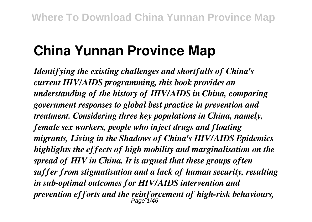# **China Yunnan Province Map**

*Identifying the existing challenges and shortfalls of China's current HIV/AIDS programming, this book provides an understanding of the history of HIV/AIDS in China, comparing government responses to global best practice in prevention and treatment. Considering three key populations in China, namely, female sex workers, people who inject drugs and floating migrants, Living in the Shadows of China's HIV/AIDS Epidemics highlights the effects of high mobility and marginalisation on the spread of HIV in China. It is argued that these groups often suffer from stigmatisation and a lack of human security, resulting in sub-optimal outcomes for HIV/AIDS intervention and prevention efforts and the reinforcement of high-risk behaviours,* Page 1/46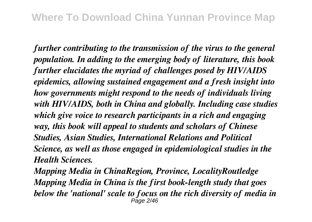*further contributing to the transmission of the virus to the general population. In adding to the emerging body of literature, this book further elucidates the myriad of challenges posed by HIV/AIDS epidemics, allowing sustained engagement and a fresh insight into how governments might respond to the needs of individuals living with HIV/AIDS, both in China and globally. Including case studies which give voice to research participants in a rich and engaging way, this book will appeal to students and scholars of Chinese Studies, Asian Studies, International Relations and Political Science, as well as those engaged in epidemiological studies in the Health Sciences.*

*Mapping Media in ChinaRegion, Province, LocalityRoutledge Mapping Media in China is the first book-length study that goes below the 'national' scale to focus on the rich diversity of media in* Page 2/46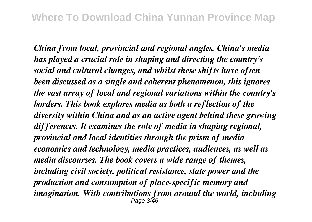*China from local, provincial and regional angles. China's media has played a crucial role in shaping and directing the country's social and cultural changes, and whilst these shifts have often been discussed as a single and coherent phenomenon, this ignores the vast array of local and regional variations within the country's borders. This book explores media as both a reflection of the diversity within China and as an active agent behind these growing differences. It examines the role of media in shaping regional, provincial and local identities through the prism of media economics and technology, media practices, audiences, as well as media discourses. The book covers a wide range of themes, including civil society, political resistance, state power and the production and consumption of place-specific memory and imagination. With contributions from around the world, including*  $P$ age  $3/46$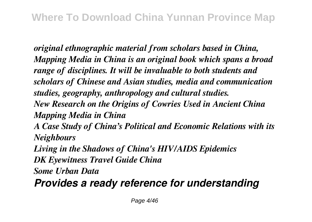*original ethnographic material from scholars based in China, Mapping Media in China is an original book which spans a broad range of disciplines. It will be invaluable to both students and scholars of Chinese and Asian studies, media and communication studies, geography, anthropology and cultural studies. New Research on the Origins of Cowries Used in Ancient China Mapping Media in China*

*A Case Study of China's Political and Economic Relations with its Neighbours*

*Living in the Shadows of China's HIV/AIDS Epidemics DK Eyewitness Travel Guide China*

*Some Urban Data*

*Provides a ready reference for understanding*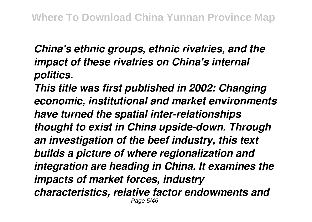*China's ethnic groups, ethnic rivalries, and the impact of these rivalries on China's internal politics.*

*This title was first published in 2002: Changing economic, institutional and market environments have turned the spatial inter-relationships thought to exist in China upside-down. Through an investigation of the beef industry, this text builds a picture of where regionalization and integration are heading in China. It examines the impacts of market forces, industry characteristics, relative factor endowments and* Page 5/46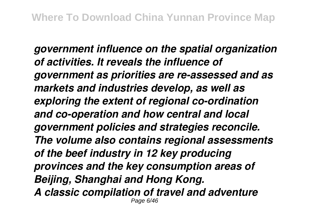*government influence on the spatial organization of activities. It reveals the influence of government as priorities are re-assessed and as markets and industries develop, as well as exploring the extent of regional co-ordination and co-operation and how central and local government policies and strategies reconcile. The volume also contains regional assessments of the beef industry in 12 key producing provinces and the key consumption areas of Beijing, Shanghai and Hong Kong. A classic compilation of travel and adventure* Page 6/46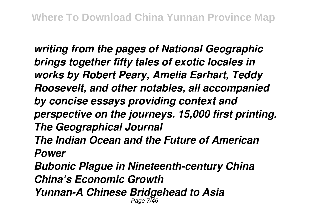*writing from the pages of National Geographic brings together fifty tales of exotic locales in works by Robert Peary, Amelia Earhart, Teddy Roosevelt, and other notables, all accompanied by concise essays providing context and perspective on the journeys. 15,000 first printing. The Geographical Journal The Indian Ocean and the Future of American Power Bubonic Plague in Nineteenth-century China China's Economic Growth Yunnan-A Chinese Bridgehead to Asia* Page 7/46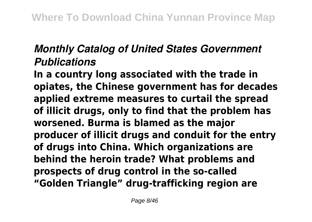# *Monthly Catalog of United States Government Publications*

**In a country long associated with the trade in opiates, the Chinese government has for decades applied extreme measures to curtail the spread of illicit drugs, only to find that the problem has worsened. Burma is blamed as the major producer of illicit drugs and conduit for the entry of drugs into China. Which organizations are behind the heroin trade? What problems and prospects of drug control in the so-called "Golden Triangle" drug-trafficking region are**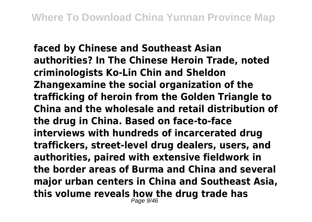**faced by Chinese and Southeast Asian authorities? In The Chinese Heroin Trade, noted criminologists Ko-Lin Chin and Sheldon Zhangexamine the social organization of the trafficking of heroin from the Golden Triangle to China and the wholesale and retail distribution of the drug in China. Based on face-to-face interviews with hundreds of incarcerated drug traffickers, street-level drug dealers, users, and authorities, paired with extensive fieldwork in the border areas of Burma and China and several major urban centers in China and Southeast Asia, this volume reveals how the drug trade has** Page 9/46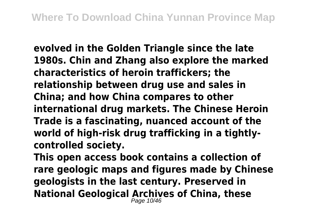**evolved in the Golden Triangle since the late 1980s. Chin and Zhang also explore the marked characteristics of heroin traffickers; the relationship between drug use and sales in China; and how China compares to other international drug markets. The Chinese Heroin Trade is a fascinating, nuanced account of the world of high-risk drug trafficking in a tightlycontrolled society.**

**This open access book contains a collection of rare geologic maps and figures made by Chinese geologists in the last century. Preserved in National Geological Archives of China, these** Page 10/46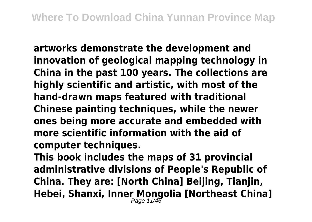**artworks demonstrate the development and innovation of geological mapping technology in China in the past 100 years. The collections are highly scientific and artistic, with most of the hand-drawn maps featured with traditional Chinese painting techniques, while the newer ones being more accurate and embedded with more scientific information with the aid of computer techniques.**

**This book includes the maps of 31 provincial administrative divisions of People's Republic of China. They are: [North China] Beijing, Tianjin, Hebei, Shanxi, Inner Mongolia [Northeast China]** Page 11/46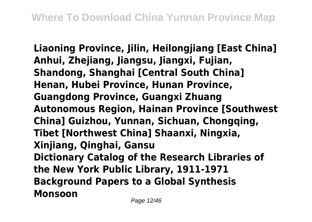**Liaoning Province, Jilin, Heilongjiang [East China] Anhui, Zhejiang, Jiangsu, Jiangxi, Fujian, Shandong, Shanghai [Central South China] Henan, Hubei Province, Hunan Province, Guangdong Province, Guangxi Zhuang Autonomous Region, Hainan Province [Southwest China] Guizhou, Yunnan, Sichuan, Chongqing, Tibet [Northwest China] Shaanxi, Ningxia, Xinjiang, Qinghai, Gansu Dictionary Catalog of the Research Libraries of the New York Public Library, 1911-1971 Background Papers to a Global Synthesis Monsoon**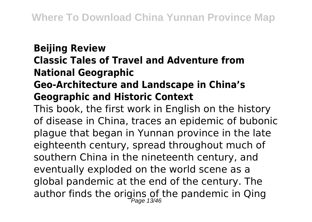# **Beijing Review Classic Tales of Travel and Adventure from National Geographic Geo-Architecture and Landscape in China's**

#### **Geographic and Historic Context**

This book, the first work in English on the history of disease in China, traces an epidemic of bubonic plague that began in Yunnan province in the late eighteenth century, spread throughout much of southern China in the nineteenth century, and eventually exploded on the world scene as a global pandemic at the end of the century. The author finds the origins of the pandemic in Qing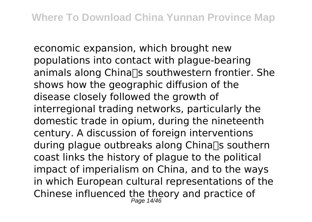economic expansion, which brought new populations into contact with plague-bearing animals along China $\Box$ s southwestern frontier. She shows how the geographic diffusion of the disease closely followed the growth of interregional trading networks, particularly the domestic trade in opium, during the nineteenth century. A discussion of foreign interventions during plague outbreaks along China $\Box$ s southern coast links the history of plague to the political impact of imperialism on China, and to the ways in which European cultural representations of the Chinese influenced the theory and practice of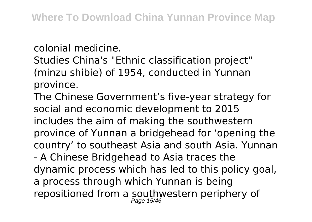colonial medicine.

Studies China's "Ethnic classification project" (minzu shibie) of 1954, conducted in Yunnan province.

The Chinese Government's five-year strategy for social and economic development to 2015 includes the aim of making the southwestern province of Yunnan a bridgehead for 'opening the country' to southeast Asia and south Asia. Yunnan - A Chinese Bridgehead to Asia traces the dynamic process which has led to this policy goal, a process through which Yunnan is being repositioned from a southwestern periphery of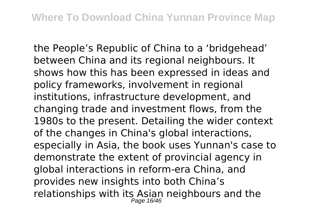the People's Republic of China to a 'bridgehead' between China and its regional neighbours. It shows how this has been expressed in ideas and policy frameworks, involvement in regional institutions, infrastructure development, and changing trade and investment flows, from the 1980s to the present. Detailing the wider context of the changes in China's global interactions, especially in Asia, the book uses Yunnan's case to demonstrate the extent of provincial agency in global interactions in reform-era China, and provides new insights into both China's relationships with its Asian neighbours and the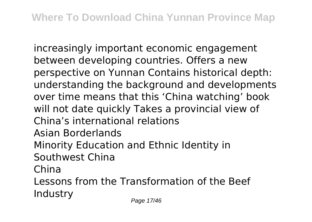increasingly important economic engagement between developing countries. Offers a new perspective on Yunnan Contains historical depth: understanding the background and developments over time means that this 'China watching' book will not date quickly Takes a provincial view of China's international relations Asian Borderlands Minority Education and Ethnic Identity in Southwest China China Lessons from the Transformation of the Beef Industry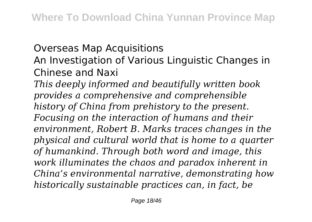#### Overseas Map Acquisitions

## An Investigation of Various Linguistic Changes in Chinese and Naxi

*This deeply informed and beautifully written book provides a comprehensive and comprehensible history of China from prehistory to the present. Focusing on the interaction of humans and their environment, Robert B. Marks traces changes in the physical and cultural world that is home to a quarter of humankind. Through both word and image, this work illuminates the chaos and paradox inherent in China's environmental narrative, demonstrating how historically sustainable practices can, in fact, be*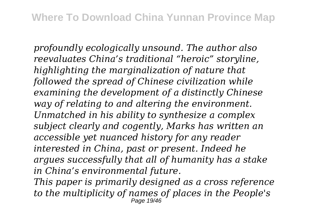*profoundly ecologically unsound. The author also reevaluates China's traditional "heroic" storyline, highlighting the marginalization of nature that followed the spread of Chinese civilization while examining the development of a distinctly Chinese way of relating to and altering the environment. Unmatched in his ability to synthesize a complex subject clearly and cogently, Marks has written an accessible yet nuanced history for any reader interested in China, past or present. Indeed he argues successfully that all of humanity has a stake in China's environmental future.*

*This paper is primarily designed as a cross reference to the multiplicity of names of places in the People's* Page 19/46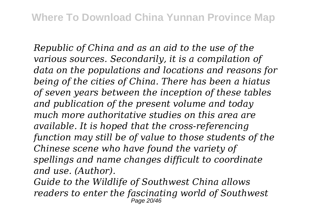*Republic of China and as an aid to the use of the various sources. Secondarily, it is a compilation of data on the populations and locations and reasons for being of the cities of China. There has been a hiatus of seven years between the inception of these tables and publication of the present volume and today much more authoritative studies on this area are available. It is hoped that the cross-referencing function may still be of value to those students of the Chinese scene who have found the variety of spellings and name changes difficult to coordinate and use. (Author).*

*Guide to the Wildlife of Southwest China allows readers to enter the fascinating world of Southwest* Page 20/46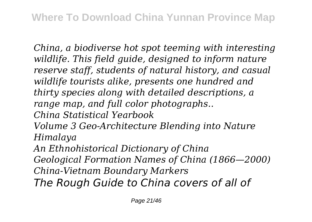*China, a biodiverse hot spot teeming with interesting wildlife. This field guide, designed to inform nature reserve staff, students of natural history, and casual wildlife tourists alike, presents one hundred and thirty species along with detailed descriptions, a range map, and full color photographs..*

*China Statistical Yearbook*

*Volume 3 Geo-Architecture Blending into Nature Himalaya*

*An Ethnohistorical Dictionary of China*

*Geological Formation Names of China (1866—2000) China-Vietnam Boundary Markers*

*The Rough Guide to China covers of all of*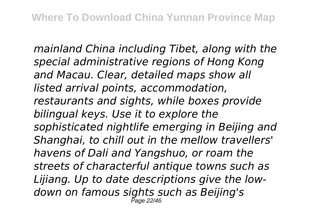*mainland China including Tibet, along with the special administrative regions of Hong Kong and Macau. Clear, detailed maps show all listed arrival points, accommodation, restaurants and sights, while boxes provide bilingual keys. Use it to explore the sophisticated nightlife emerging in Beijing and Shanghai, to chill out in the mellow travellers' havens of Dali and Yangshuo, or roam the streets of characterful antique towns such as Lijiang. Up to date descriptions give the lowdown on famous sights such as Beijing's* Page 22/46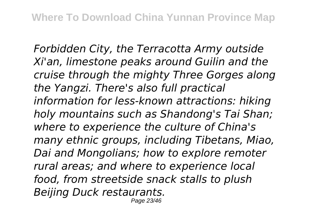*Forbidden City, the Terracotta Army outside Xi'an, limestone peaks around Guilin and the cruise through the mighty Three Gorges along the Yangzi. There's also full practical information for less-known attractions: hiking holy mountains such as Shandong's Tai Shan; where to experience the culture of China's many ethnic groups, including Tibetans, Miao, Dai and Mongolians; how to explore remoter rural areas; and where to experience local food, from streetside snack stalls to plush Beijing Duck restaurants.* Page 23/46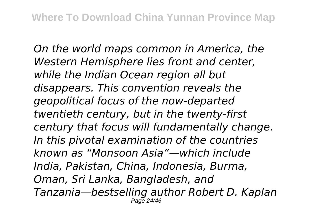*On the world maps common in America, the Western Hemisphere lies front and center, while the Indian Ocean region all but disappears. This convention reveals the geopolitical focus of the now-departed twentieth century, but in the twenty-first century that focus will fundamentally change. In this pivotal examination of the countries known as "Monsoon Asia"—which include India, Pakistan, China, Indonesia, Burma, Oman, Sri Lanka, Bangladesh, and Tanzania—bestselling author Robert D. Kaplan* Page 24/46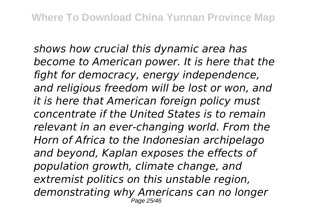*shows how crucial this dynamic area has become to American power. It is here that the fight for democracy, energy independence, and religious freedom will be lost or won, and it is here that American foreign policy must concentrate if the United States is to remain relevant in an ever-changing world. From the Horn of Africa to the Indonesian archipelago and beyond, Kaplan exposes the effects of population growth, climate change, and extremist politics on this unstable region, demonstrating why Americans can no longer* Page 25/46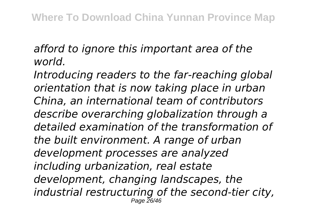## *afford to ignore this important area of the world.*

*Introducing readers to the far-reaching global orientation that is now taking place in urban China, an international team of contributors describe overarching globalization through a detailed examination of the transformation of the built environment. A range of urban development processes are analyzed including urbanization, real estate development, changing landscapes, the industrial restructuring of the second-tier city,* Page 26/46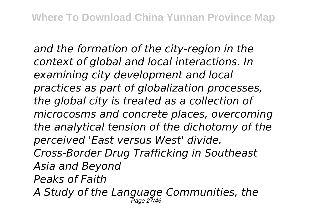*and the formation of the city-region in the context of global and local interactions. In examining city development and local practices as part of globalization processes, the global city is treated as a collection of microcosms and concrete places, overcoming the analytical tension of the dichotomy of the perceived 'East versus West' divide. Cross-Border Drug Trafficking in Southeast Asia and Beyond Peaks of Faith A Study of the Language Communities, the* Page 27/46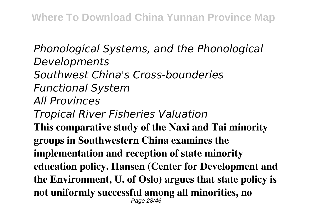*Phonological Systems, and the Phonological Developments Southwest China's Cross-bounderies Functional System All Provinces Tropical River Fisheries Valuation* **This comparative study of the Naxi and Tai minority groups in Southwestern China examines the implementation and reception of state minority education policy. Hansen (Center for Development and the Environment, U. of Oslo) argues that state policy is not uniformly successful among all minorities, no** Page 28/46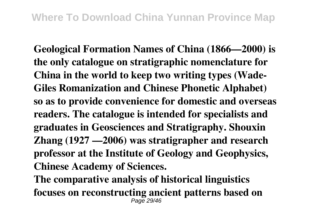**Geological Formation Names of China (1866—2000) is the only catalogue on stratigraphic nomenclature for China in the world to keep two writing types (Wade-Giles Romanization and Chinese Phonetic Alphabet) so as to provide convenience for domestic and overseas readers. The catalogue is intended for specialists and graduates in Geosciences and Stratigraphy. Shouxin Zhang (1927 —2006) was stratigrapher and research professor at the Institute of Geology and Geophysics, Chinese Academy of Sciences.**

**The comparative analysis of historical linguistics focuses on reconstructing ancient patterns based on** Page 29/46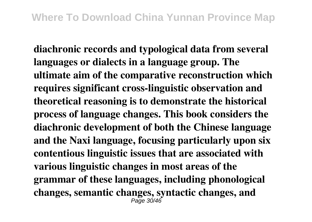**diachronic records and typological data from several languages or dialects in a language group. The ultimate aim of the comparative reconstruction which requires significant cross-linguistic observation and theoretical reasoning is to demonstrate the historical process of language changes. This book considers the diachronic development of both the Chinese language and the Naxi language, focusing particularly upon six contentious linguistic issues that are associated with various linguistic changes in most areas of the grammar of these languages, including phonological changes, semantic changes, syntactic changes, and**  $P$ ane 30/16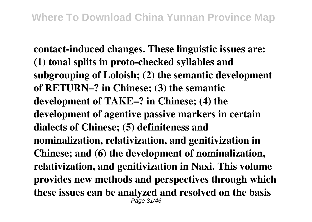**contact-induced changes. These linguistic issues are: (1) tonal splits in proto-checked syllables and subgrouping of Loloish; (2) the semantic development of RETURN–? in Chinese; (3) the semantic development of TAKE–? in Chinese; (4) the development of agentive passive markers in certain dialects of Chinese; (5) definiteness and nominalization, relativization, and genitivization in Chinese; and (6) the development of nominalization, relativization, and genitivization in Naxi. This volume provides new methods and perspectives through which these issues can be analyzed and resolved on the basis**  $P$ age 31/46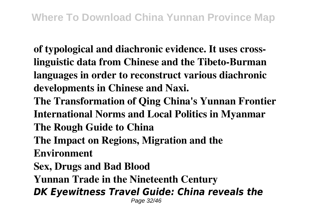**of typological and diachronic evidence. It uses crosslinguistic data from Chinese and the Tibeto-Burman languages in order to reconstruct various diachronic developments in Chinese and Naxi.**

- **The Transformation of Qing China's Yunnan Frontier International Norms and Local Politics in Myanmar**
- **The Rough Guide to China**
- **The Impact on Regions, Migration and the**
- **Environment**
- **Sex, Drugs and Bad Blood**
- **Yunnan Trade in the Nineteenth Century**
- *DK Eyewitness Travel Guide: China reveals the* Page 32/46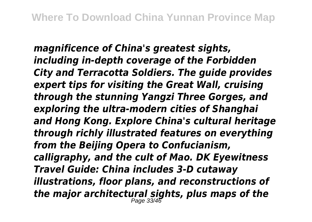*magnificence of China's greatest sights, including in-depth coverage of the Forbidden City and Terracotta Soldiers. The guide provides expert tips for visiting the Great Wall, cruising through the stunning Yangzi Three Gorges, and exploring the ultra-modern cities of Shanghai and Hong Kong. Explore China's cultural heritage through richly illustrated features on everything from the Beijing Opera to Confucianism, calligraphy, and the cult of Mao. DK Eyewitness Travel Guide: China includes 3-D cutaway illustrations, floor plans, and reconstructions of the major architectural sights, plus maps of the* Page 33/46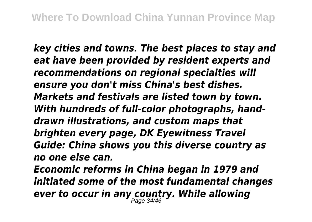*key cities and towns. The best places to stay and eat have been provided by resident experts and recommendations on regional specialties will ensure you don't miss China's best dishes. Markets and festivals are listed town by town. With hundreds of full-color photographs, handdrawn illustrations, and custom maps that brighten every page, DK Eyewitness Travel Guide: China shows you this diverse country as no one else can.*

*Economic reforms in China began in 1979 and initiated some of the most fundamental changes ever to occur in any country. While allowing* Page 34/46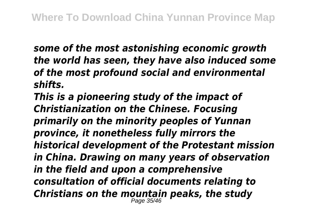*some of the most astonishing economic growth the world has seen, they have also induced some of the most profound social and environmental shifts.*

*This is a pioneering study of the impact of Christianization on the Chinese. Focusing primarily on the minority peoples of Yunnan province, it nonetheless fully mirrors the historical development of the Protestant mission in China. Drawing on many years of observation in the field and upon a comprehensive consultation of official documents relating to Christians on the mountain peaks, the study* Page 35/46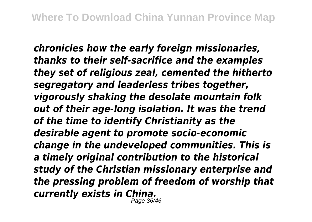*chronicles how the early foreign missionaries, thanks to their self-sacrifice and the examples they set of religious zeal, cemented the hitherto segregatory and leaderless tribes together, vigorously shaking the desolate mountain folk out of their age-long isolation. It was the trend of the time to identify Christianity as the desirable agent to promote socio-economic change in the undeveloped communities. This is a timely original contribution to the historical study of the Christian missionary enterprise and the pressing problem of freedom of worship that currently exists in China.* Page 36/46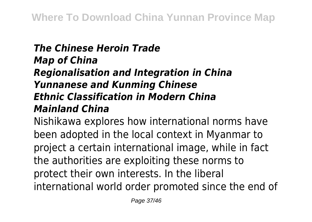## *The Chinese Heroin Trade Map of China Regionalisation and Integration in China Yunnanese and Kunming Chinese Ethnic Classification in Modern China Mainland China*

Nishikawa explores how international norms have been adopted in the local context in Myanmar to project a certain international image, while in fact the authorities are exploiting these norms to protect their own interests. In the liberal international world order promoted since the end of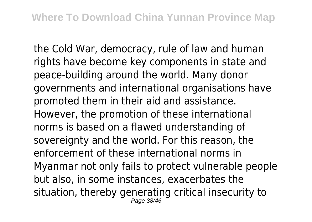the Cold War, democracy, rule of law and human rights have become key components in state and peace-building around the world. Many donor governments and international organisations have promoted them in their aid and assistance. However, the promotion of these international norms is based on a flawed understanding of sovereignty and the world. For this reason, the enforcement of these international norms in Myanmar not only fails to protect vulnerable people but also, in some instances, exacerbates the situation, thereby generating critical insecurity to Page 38/46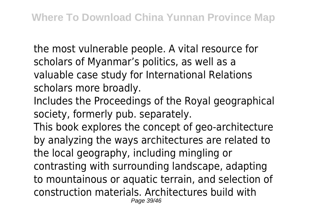the most vulnerable people. A vital resource for scholars of Myanmar's politics, as well as a valuable case study for International Relations scholars more broadly.

Includes the Proceedings of the Royal geographical society, formerly pub. separately.

This book explores the concept of geo-architecture by analyzing the ways architectures are related to the local geography, including mingling or contrasting with surrounding landscape, adapting to mountainous or aquatic terrain, and selection of construction materials. Architectures build with Page 39/46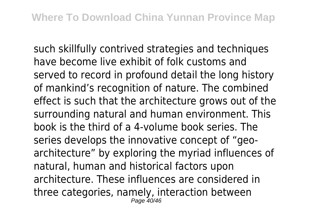such skillfully contrived strategies and techniques have become live exhibit of folk customs and served to record in profound detail the long history of mankind's recognition of nature. The combined effect is such that the architecture grows out of the surrounding natural and human environment. This book is the third of a 4-volume book series. The series develops the innovative concept of "geoarchitecture" by exploring the myriad influences of natural, human and historical factors upon architecture. These influences are considered in three categories, namely, interaction between Page 40/46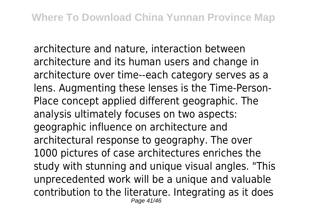architecture and nature, interaction between architecture and its human users and change in architecture over time--each category serves as a lens. Augmenting these lenses is the Time-Person-Place concept applied different geographic. The analysis ultimately focuses on two aspects: geographic influence on architecture and architectural response to geography. The over 1000 pictures of case architectures enriches the study with stunning and unique visual angles. "This unprecedented work will be a unique and valuable contribution to the literature. Integrating as it does Page 41/46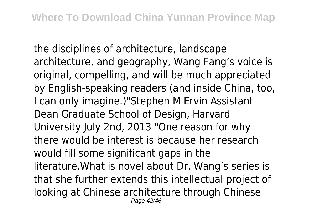the disciplines of architecture, landscape architecture, and geography, Wang Fang's voice is original, compelling, and will be much appreciated by English-speaking readers (and inside China, too, I can only imagine.)"Stephen M Ervin Assistant Dean Graduate School of Design, Harvard University July 2nd, 2013 "One reason for why there would be interest is because her research would fill some significant gaps in the literature.What is novel about Dr. Wang's series is that she further extends this intellectual project of looking at Chinese architecture through Chinese Page 42/46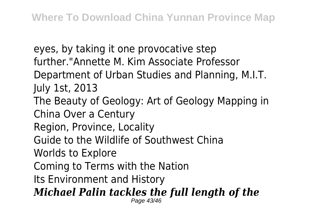eyes, by taking it one provocative step further."Annette M. Kim Associate Professor Department of Urban Studies and Planning, M.I.T. July 1st, 2013 The Beauty of Geology: Art of Geology Mapping in China Over a Century Region, Province, Locality Guide to the Wildlife of Southwest China Worlds to Explore Coming to Terms with the Nation Its Environment and History *Michael Palin tackles the full length of the* Page 43/46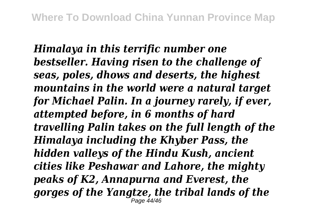*Himalaya in this terrific number one bestseller. Having risen to the challenge of seas, poles, dhows and deserts, the highest mountains in the world were a natural target for Michael Palin. In a journey rarely, if ever, attempted before, in 6 months of hard travelling Palin takes on the full length of the Himalaya including the Khyber Pass, the hidden valleys of the Hindu Kush, ancient cities like Peshawar and Lahore, the mighty peaks of K2, Annapurna and Everest, the gorges of the Yangtze, the tribal lands of the* Page 44/46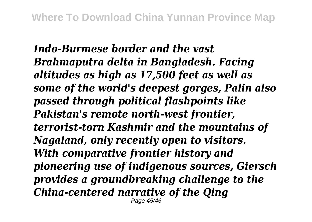*Indo-Burmese border and the vast Brahmaputra delta in Bangladesh. Facing altitudes as high as 17,500 feet as well as some of the world's deepest gorges, Palin also passed through political flashpoints like Pakistan's remote north-west frontier, terrorist-torn Kashmir and the mountains of Nagaland, only recently open to visitors. With comparative frontier history and pioneering use of indigenous sources, Giersch provides a groundbreaking challenge to the China-centered narrative of the Qing* Page 45/46